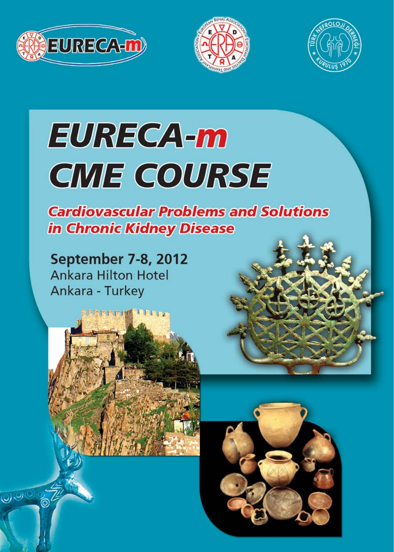





# **EURECA-m CME COURSE**

**Cardiovascular Problems and Solutions** in Chronic Kidney Disease

**September 7-8, 2012 Ankara Hilton Hotel** Ankara - Turkey

**RAME SERVE BERDE** 

 $O_0$ 

て

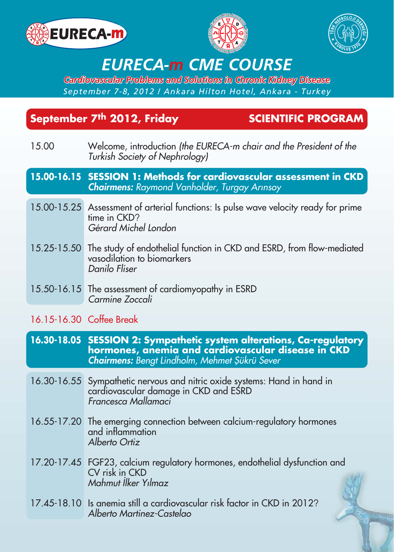





ூடு

## *EURECA-m CME COURSE*

*September 7-8, 2012 / Ankara Hilton Hotel, Ankara - Turkey Cardiovascular Problems and Solutions in Chronic Kidney Disease*

### September 7th 2012, Friday SCIENTIFIC PROGRAM

- 15.00 Welcome, introduction (the EURECA-m chair and the President of the Turkish Society of Nephrology)
- 15.00-16.15 SESSION 1: Methods for cardiovascular assessment in CKD Chairmens: Raymond Vanholder, Turgay Arınsoy
- 15.00-15.25 Assessment of arterial functions: Is pulse wave velocity ready for prime time in CKD? Gérard Michel London
- 15.25-15.50 The study of endothelial function in CKD and ESRD, from flow-mediated vasodilation to biomarkers Danilo Fliser
- 15.50-16.15 The assessment of cardiomyopathy in ESRD Carmine Zoccali

#### 16.15-16.30 Coffee Break

- 16.30-18.05 SESSION 2: Sympathetic system alterations, Ca-regulatory hormones, anemia and cardiovascular disease in CKD Chairmens: Benat Lindholm, Mehmet Sükrü Sever
- 16.30-16.55 Sympathetic nervous and nitric oxide systems: Hand in hand in cardiovascular damage in CKD and ESRD Francesca Mallamaci
- 16.55-17.20 The emerging connection between calcium-regulatory hormones and inflammation Alberto Ortiz
- 17.20-17.45 FGF23, calcium regulatory hormones, endothelial dysfunction and CV risk in CKD Mahmut İlker Yılmaz
- 17.45-18.10 Is anemia still a cardiovascular risk factor in CKD in 2012? Alberto Martinez-Castelao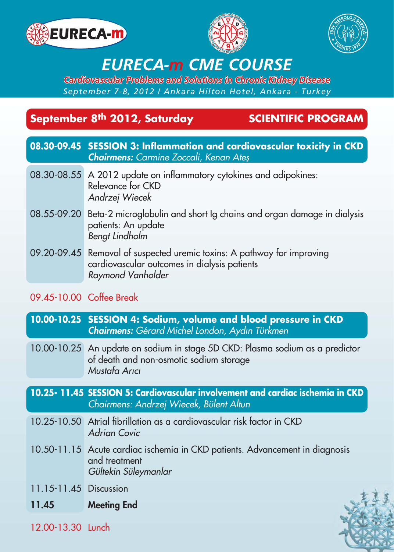





# *EURECA-m CME COURSE*

*September 7-8, 2012 / Ankara Hilton Hotel, Ankara - Turkey Cardiovascular Problems and Solutions in Chronic Kidney Disease*

## September 8th 2012, Saturday SCIENTIFIC PROGRAM

08.30-09.45 SESSION 3: Inflammation and cardiovascular toxicity in CKD **Chairmens:** Carmine Zoccali, Kenan Ates

- 08.30-08.55 A 2012 update on inflammatory cytokines and adipokines: Relevance for CKD Andrzej Wiecek
- 08.55-09.20 Beta-2 microglobulin and short Ig chains and organ damage in dialysis patients: An update Bengt Lindholm
- 09.20-09.45 Removal of suspected uremic toxins: A pathway for improving cardiovascular outcomes in dialysis patients Raymond Vanholder
- 09.45-10.00 Coffee Break

10.00-10.25 SESSION 4: Sodium, volume and blood pressure in CKD Chairmens: Gérard Michel London, Aydın Türkmen

10.00-10.25 An update on sodium in stage 5D CKD: Plasma sodium as a predictor of death and non-osmotic sodium storage Mustafa Arici

10.25- 11.45 SESSION 5: Cardiovascular involvement and cardiac ischemia in CKD Chairmens: Andrzej Wiecek, Bülent Altun

- 10.25-10.50 Atrial fibrillation as a cardiovascular risk factor in CKD Adrian Covic
- 10.50-11.15 Acute cardiac ischemia in CKD patients. Advancement in diagnosis and treatment Gültekin Süleymanlar
- 11.15-11.45 Discussion
- 11.45 Meeting End